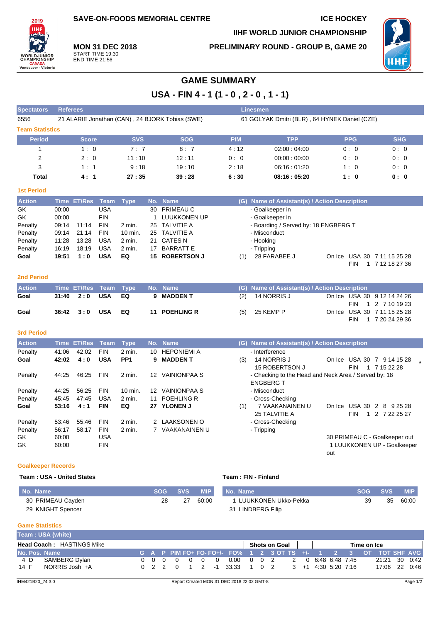**SAVE-ON-FOODS MEMORIAL CENTRE ICE HOCKEY** 

**PRELIMINARY ROUND - GROUP B, GAME 20**

**IIHF WORLD JUNIOR CHAMPIONSHIP**



**MON 31 DEC 2018** START TIME 19:30 END TIME 21:56

# **GAME SUMMARY**

**USA - FIN 4 - 1 (1 - 0 , 2 - 0 , 1 - 1)**

| <b>Spectators</b>      | <b>Referees</b>                                 |            |            | Linesmen   |                                               |            |            |
|------------------------|-------------------------------------------------|------------|------------|------------|-----------------------------------------------|------------|------------|
| 6556                   | 21 ALARIE Jonathan (CAN), 24 BJORK Tobias (SWE) |            |            |            | 61 GOLYAK Dmitri (BLR), 64 HYNEK Daniel (CZE) |            |            |
| <b>Team Statistics</b> |                                                 |            |            |            |                                               |            |            |
| <b>Period</b>          | <b>Score</b>                                    | <b>SVS</b> | <b>SOG</b> | <b>PIM</b> | <b>TPP</b>                                    | <b>PPG</b> | <b>SHG</b> |
|                        | 1:0                                             | 7:7        | 8:7        | 4:12       | 02:00:04:00                                   | 0:0        | 0:0        |
| 2                      | 2:0                                             | 11:10      | 12:11      | 0:0        | 00:00:00:00                                   | 0:0        | 0:0        |
| 3                      | 1:1                                             | 9:18       | 19:10      | 2:18       | 06:16:01:20                                   | 1:0        | 0:0        |
| Total                  | 4:1                                             | 27:35      | 39:28      | 6:30       | 08:16:05:20                                   | 1:0        | 0: 0       |

#### **1st Period**

2019 ÌН

**WORLDJUNI**<br>CHAMPIONS

**CANADA**<br>Vancouver - Victoria

| <b>Action</b> |       | Time ET/Res Team Type |            |          | No. Name       | (G) Name of Assistant(s) / Action Description      |
|---------------|-------|-----------------------|------------|----------|----------------|----------------------------------------------------|
| GK.           | 00:00 |                       | USA        |          | 30 PRIMEAU C   | - Goalkeeper in                                    |
| GK            | 00:00 |                       | <b>FIN</b> |          | 1 LUUKKONEN UP | - Goalkeeper in                                    |
| Penalty       | 09:14 | 11:14                 | <b>FIN</b> | $2$ min. | 25 TALVITIE A  | - Boarding / Served by: 18 ENGBERG T               |
| Penalty       | 09:14 | 21:14                 | <b>FIN</b> | 10 min.  | 25 TALVITIE A  | - Misconduct                                       |
| Penalty       | 11:28 | 13:28                 | <b>USA</b> | $2$ min. | 21 CATES N     | - Hooking                                          |
| Penalty       | 16:19 | 18:19                 | <b>USA</b> | $2$ min. | 17 BARRATT E   | - Tripping                                         |
| Goal          | 19:51 | 1:0                   | USA        | EQ       | 15 ROBERTSON J | 28 FARABEE J<br>On Ice USA 30 7 11 15 25 28<br>(1) |
|               |       |                       |            |          |                | 7 12 18 27 36<br>FIN                               |

### **2nd Period**

| <b>Action</b> |                     | Time ET/Res Team Type No. Name |               |     | (G) Name of Assistant(s) / Action Description |  |                             |
|---------------|---------------------|--------------------------------|---------------|-----|-----------------------------------------------|--|-----------------------------|
| Goal          | 31:40  2:0  USA  EQ |                                | 9 MADDEN T    | (2) | 14 NORRIS J                                   |  | On Ice USA 30 9 12 14 24 26 |
|               |                     |                                |               |     |                                               |  | FIN 1 2 7 10 19 23          |
| Goal          | 36:42 3:0 USA       | EQ                             | 11 POEHLING R | (5) | 25 KEMP P                                     |  | On Ice USA 30 7 11 15 25 28 |
|               |                     |                                |               |     |                                               |  | FIN 1 7 20 24 29 36         |

#### **3rd Period**

| <b>Action</b> | Time  | <b>ET/Res</b> | Team       | <b>Type</b>     |    | No. Name            | <b>Name of Assistant(s) / Action Description</b><br>(G)      |  |
|---------------|-------|---------------|------------|-----------------|----|---------------------|--------------------------------------------------------------|--|
| Penalty       | 41:06 | 42:02         | <b>FIN</b> | $2$ min.        | 10 | <b>HEPONIEMI A</b>  | - Interference                                               |  |
| Goal          | 42:02 | 4:0           | <b>USA</b> | PP <sub>1</sub> | 9  | <b>MADDEN T</b>     | 14 NORRIS J<br>USA 30<br>(3)<br>9 14 15 28<br>On Ice<br>7    |  |
|               |       |               |            |                 |    |                     | 15 ROBERTSON J<br><b>FIN</b><br>7 15 22 28                   |  |
| Penalty       | 44:25 | 46.25         | <b>FIN</b> | $2$ min.        | 12 | <b>VAINIONPAA S</b> | - Checking to the Head and Neck Area / Served by: 18         |  |
|               |       |               |            |                 |    |                     | <b>ENGBERG T</b>                                             |  |
| Penalty       | 44:25 | 56.25         | <b>FIN</b> | 10 min.         | 12 | <b>VAINIONPAA S</b> | - Misconduct                                                 |  |
| Penalty       | 45:45 | 47:45         | <b>USA</b> | $2$ min.        | 11 | POEHLING R          | - Cross-Checking                                             |  |
| Goal          | 53:16 | 4:1           | <b>FIN</b> | EQ              |    | 27 YLONEN J         | 7 VAAKANAINEN U<br>USA 30<br>(1)<br>On Ice<br>2<br>8 9 25 28 |  |
|               |       |               |            |                 |    |                     | 25 TALVITIE A<br><b>FIN</b><br>7 22 25 27<br>$\mathcal{P}$   |  |
| Penalty       | 53:46 | 55.46         | <b>FIN</b> | $2$ min.        |    | <b>LAAKSONEN O</b>  | - Cross-Checking                                             |  |
| Penalty       | 56:17 | 58:17         | <b>FIN</b> | 2 min.          |    | VAAKANAINEN U       | - Tripping                                                   |  |
| GK.           | 60:00 |               | <b>USA</b> |                 |    |                     | 30 PRIMEAU C - Goalkeeper out                                |  |
| GK            | 60:00 |               | <b>FIN</b> |                 |    |                     | 1 LUUKKONEN UP - Goalkeeper                                  |  |
|               |       |               |            |                 |    |                     | out                                                          |  |

#### **Goalkeeper Records**

#### **Team : USA - United States Team : FIN - Finland**

| <b>No. Name</b>   | <b>SOG</b> | <b>SVS</b> | MIP   | No. Name             | <b>SOG</b> | <b>SVS</b> | <b>MIP</b> |
|-------------------|------------|------------|-------|----------------------|------------|------------|------------|
| 30 PRIMEAU Cayden | 28         | 27         | 60:00 | LUUKKONEN Ukko-Pekka | 39         | 35         | 60:00      |
| 29 KNIGHT Spencer |            |            |       | 31 LINDBERG Filip    |            |            |            |

#### **Game Statistics**

|               | Team: USA (white)                |  |  |  |                                                                  |  |               |  |  |             |               |  |
|---------------|----------------------------------|--|--|--|------------------------------------------------------------------|--|---------------|--|--|-------------|---------------|--|
|               | <b>Head Coach: HASTINGS Mike</b> |  |  |  |                                                                  |  | Shots on Goal |  |  | Time on Ice |               |  |
| No. Pos. Name |                                  |  |  |  | G A P PIM FO+ FO- FO+/- FO% 1 2 3 OT TS +/- 1 2 3 OT TOT SHE AVG |  |               |  |  |             |               |  |
| 4 D           | SAMBERG Dylan                    |  |  |  | 0 0 0 0 0 0 0 0.00 0 0 2 2 0 6:48 6:48 7:45                      |  |               |  |  |             | 21:21 30 0:42 |  |
| 14 F          | NORRIS Josh +A                   |  |  |  | 0 2 2 0 1 2 1 33.33 1 0 2 3 +1 4.30 5.20 7.16                    |  |               |  |  |             | 17:06 22 0:46 |  |